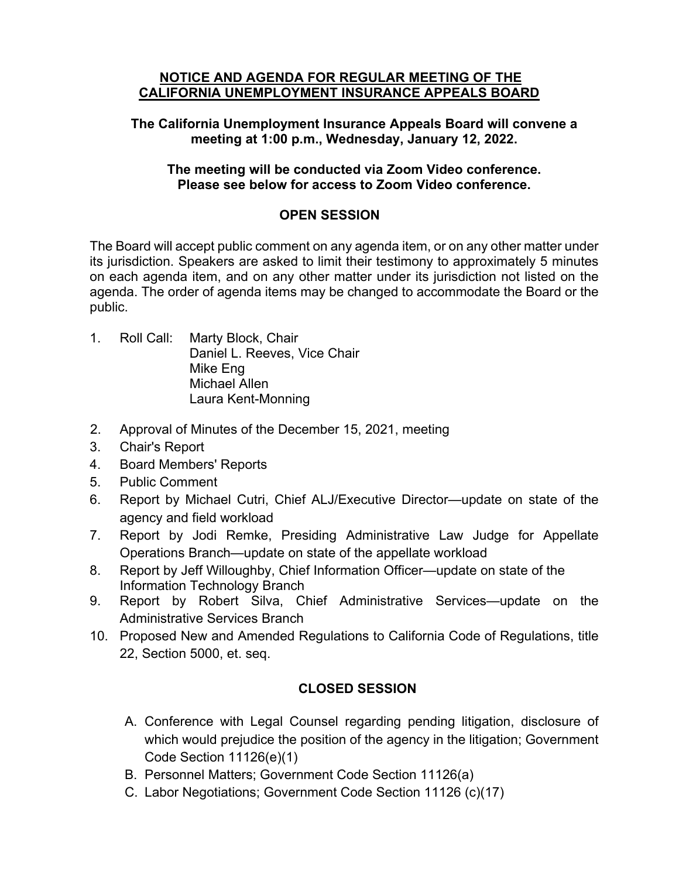#### **NOTICE AND AGENDA FOR REGULAR MEETING OF THE CALIFORNIA UNEMPLOYMENT INSURANCE APPEALS BOARD**

**The California Unemployment Insurance Appeals Board will convene a meeting at 1:00 p.m., Wednesday, January 12, 2022.** 

## **The meeting will be conducted via Zoom Video conference. Please see below for access to Zoom Video conference.**

## **OPEN SESSION**

The Board will accept public comment on any agenda item, or on any other matter under its jurisdiction. Speakers are asked to limit their testimony to approximately 5 minutes on each agenda item, and on any other matter under its jurisdiction not listed on the agenda. The order of agenda items may be changed to accommodate the Board or the public.

- 1. Roll Call: Marty Block, Chair Daniel L. Reeves, Vice Chair Mike Eng Michael Allen Laura Kent-Monning
- 2. Approval of Minutes of the December 15, 2021, meeting
- 3. Chair's Report
- 4. Board Members' Reports
- 5. Public Comment
- 6. Report by Michael Cutri, Chief ALJ/Executive Director—update on state of the agency and field workload
- 7. Report by Jodi Remke, Presiding Administrative Law Judge for Appellate Operations Branch—update on state of the appellate workload
- 8. Report by Jeff Willoughby, Chief Information Officer—update on state of the Information Technology Branch
- 9. Report by Robert Silva, Chief Administrative Services—update on the Administrative Services Branch
- 10. Proposed New and Amended Regulations to California Code of Regulations, title 22, Section 5000, et. seq.

# **CLOSED SESSION**

- A. Conference with Legal Counsel regarding pending litigation, disclosure of which would prejudice the position of the agency in the litigation; Government Code Section 11126(e)(1)
- B. Personnel Matters; Government Code Section 11126(a)
- C. Labor Negotiations; Government Code Section 11126 (c)(17)